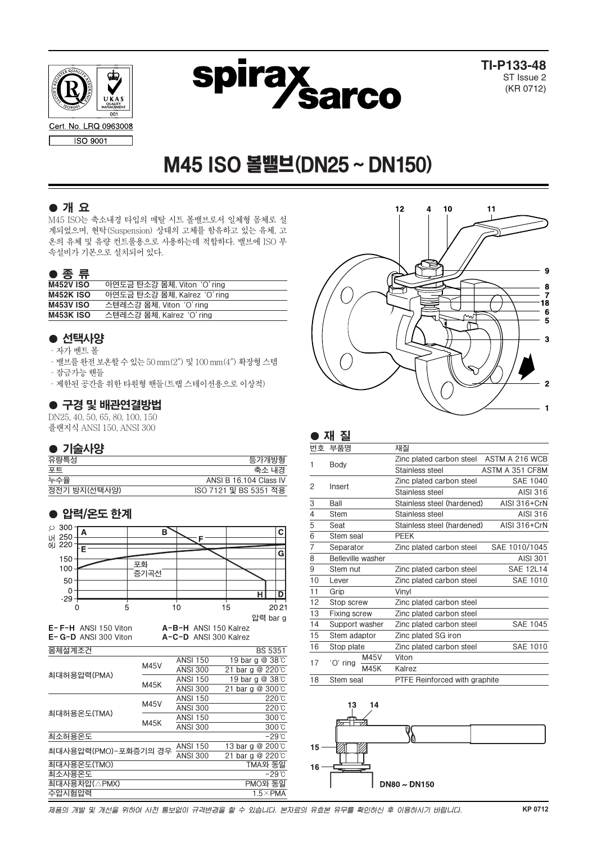



**TI-P133-48** ST Issue 2 (KR 0712)

# M45 ISO 볼밸브(DN25~DN150)

# ● 개 요

M45 ISO는 축소내경 타입의 메탈 시트 볼밸브로서 일체형 몸체로 설 계되었으며, 현탁(Suspension) 상태의 고체를 함유하고 있는 유체, 고 온의 유체 및 유량 컨트롤용으로 사용하는데 적합하다. 밸브에 ISO 부 속설비가 기본으로 설치되어 있다.

### ● 종 류

| <b>M452V ISO</b> | 아연도금 탄소강 몸체, Viton 'O' ring  |
|------------------|------------------------------|
| <b>M452K ISO</b> | 아연도금 탄소강 몸체, Kalrez 'O' ring |
| <b>M453V ISO</b> | 스텐레스강 몸체, Viton 'O' ring     |
| <b>M453K ISO</b> | 스텐레스강 몸체, Kalrez 'O' ring    |

# ● 선택사양

- –자가 벤트 볼
- –밸브를완전보온할수있는50 mm(2″) 및100 mm(4″) 확장형스템
- –잠금가능 핸들
- –제한된 공간을 위한 타원형 핸들(트랩 스테이션용으로 이상적)

# ● 구경 및 배관연결방법

DN25, 40, 50, 65, 80, 100, 150

플랜지식 ANSI 150, ANSI 300

# ● 기술사양

| 유량특성         | 등가개방형                  |
|--------------|------------------------|
| 포트           | 축소 내경                  |
| 누수율          | ANSI B 16.104 Class IV |
| 정전기 방지(선택사양) | ISO 7121 및 BS 5351 적용  |
|              |                        |

# ● 압력/온도 한계





|    | 재 질                      |      |                                      |                  |
|----|--------------------------|------|--------------------------------------|------------------|
| 번호 | 부품명                      |      | 재질                                   |                  |
|    |                          |      | Zinc plated carbon steel             | ASTM A 216 WCB   |
| 1  | Body                     |      | Stainless steel                      | ASTM A 351 CF8M  |
| 2  |                          |      | Zinc plated carbon steel             | <b>SAE 1040</b>  |
|    | Insert                   |      | Stainless steel                      | AISI 316         |
| 3  | Ball                     |      | Stainless steel (hardened)           | AISI 316+CrN     |
| 4  | Stem                     |      | Stainless steel                      | AISI 316         |
| 5  | Seat                     |      | Stainless steel (hardened)           | AISI 316+CrN     |
| 6  | Stem seal                |      | <b>PEEK</b>                          |                  |
| 7  | Separator                |      | Zinc plated carbon steel             | SAE 1010/1045    |
| 8  | <b>Belleville washer</b> |      |                                      | AISI 301         |
| 9  | Stem nut                 |      | Zinc plated carbon steel             | <b>SAE 12L14</b> |
| 10 | Lever                    |      | Zinc plated carbon steel             | SAE 1010         |
| 11 | Grip                     |      | Vinyl                                |                  |
| 12 | Stop screw               |      | Zinc plated carbon steel             |                  |
| 13 | <b>Fixing screw</b>      |      | Zinc plated carbon steel             |                  |
| 14 | Support washer           |      | Zinc plated carbon steel             | SAE 1045         |
| 15 | Stem adaptor             |      | Zinc plated SG iron                  |                  |
| 16 | Stop plate               |      | Zinc plated carbon steel             | <b>SAE 1010</b>  |
| 17 |                          | M45V | Viton                                |                  |
|    | 'O' ring                 | M45K | Kalrez                               |                  |
| 18 | Stem seal                |      | <b>PTFE Reinforced with graphite</b> |                  |



제품의 개발 및 개선을 위하여 사전 통보없이 규격변경을 할 수 있습니다. 본자료의 유효본 유무를 확인하신 후 이용하시기 바랍니다.